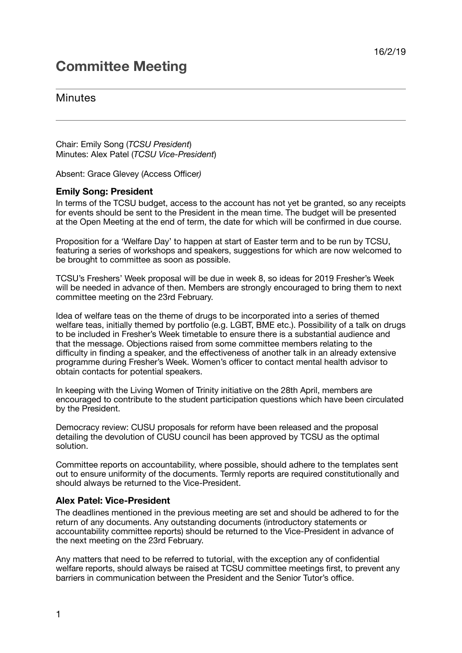# **Committee Meeting**

# **Minutes**

Chair: Emily Song (*TCSU President*) Minutes: Alex Patel (*TCSU Vice-President*)

Absent: Grace Glevey (Access Officer*)*

# **Emily Song: President**

In terms of the TCSU budget, access to the account has not yet be granted, so any receipts for events should be sent to the President in the mean time. The budget will be presented at the Open Meeting at the end of term, the date for which will be confirmed in due course.

Proposition for a 'Welfare Day' to happen at start of Easter term and to be run by TCSU, featuring a series of workshops and speakers, suggestions for which are now welcomed to be brought to committee as soon as possible.

TCSU's Freshers' Week proposal will be due in week 8, so ideas for 2019 Fresher's Week will be needed in advance of then. Members are strongly encouraged to bring them to next committee meeting on the 23rd February.

Idea of welfare teas on the theme of drugs to be incorporated into a series of themed welfare teas, initially themed by portfolio (e.g. LGBT, BME etc.). Possibility of a talk on drugs to be included in Fresher's Week timetable to ensure there is a substantial audience and that the message. Objections raised from some committee members relating to the difficulty in finding a speaker, and the effectiveness of another talk in an already extensive programme during Fresher's Week. Women's officer to contact mental health advisor to obtain contacts for potential speakers.

In keeping with the Living Women of Trinity initiative on the 28th April, members are encouraged to contribute to the student participation questions which have been circulated by the President.

Democracy review: CUSU proposals for reform have been released and the proposal detailing the devolution of CUSU council has been approved by TCSU as the optimal solution.

Committee reports on accountability, where possible, should adhere to the templates sent out to ensure uniformity of the documents. Termly reports are required constitutionally and should always be returned to the Vice-President.

# **Alex Patel: Vice-President**

The deadlines mentioned in the previous meeting are set and should be adhered to for the return of any documents. Any outstanding documents (introductory statements or accountability committee reports) should be returned to the Vice-President in advance of the next meeting on the 23rd February.

Any matters that need to be referred to tutorial, with the exception any of confidential welfare reports, should always be raised at TCSU committee meetings first, to prevent any barriers in communication between the President and the Senior Tutor's office.